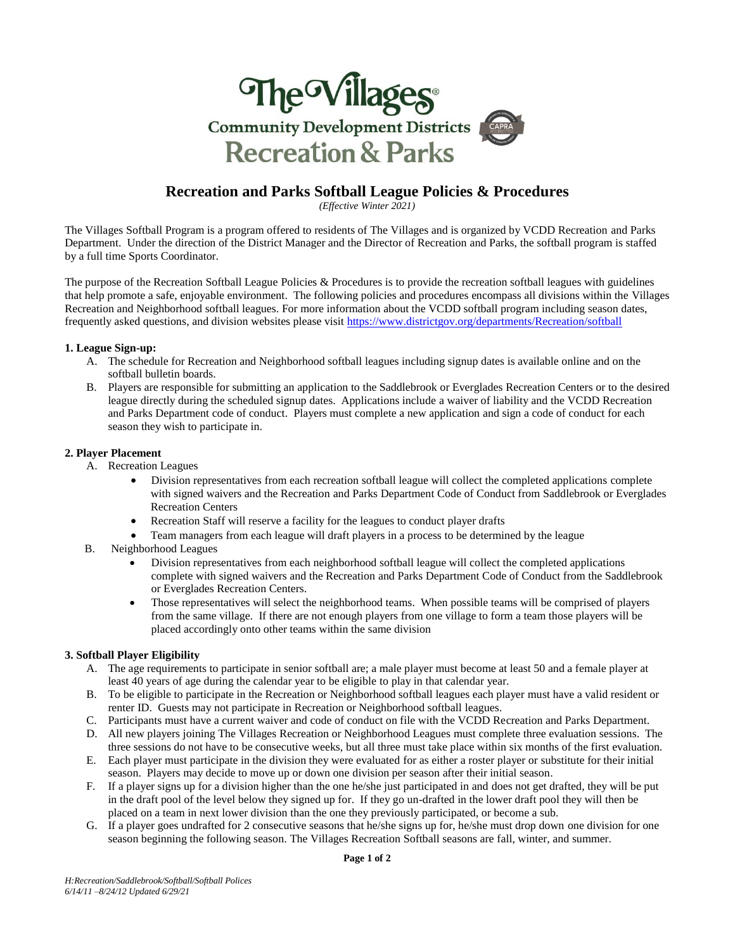

# **Recreation and Parks Softball League Policies & Procedures**

*(Effective Winter 2021)*

The Villages Softball Program is a program offered to residents of The Villages and is organized by VCDD Recreation and Parks Department. Under the direction of the District Manager and the Director of Recreation and Parks, the softball program is staffed by a full time Sports Coordinator.

The purpose of the Recreation Softball League Policies & Procedures is to provide the recreation softball leagues with guidelines that help promote a safe, enjoyable environment. The following policies and procedures encompass all divisions within the Villages Recreation and Neighborhood softball leagues. For more information about the VCDD softball program including season dates, frequently asked questions, and division websites please visit<https://www.districtgov.org/departments/Recreation/softball>

### **1. League Sign-up:**

- A. The schedule for Recreation and Neighborhood softball leagues including signup dates is available online and on the softball bulletin boards.
- B. Players are responsible for submitting an application to the Saddlebrook or Everglades Recreation Centers or to the desired league directly during the scheduled signup dates. Applications include a waiver of liability and the VCDD Recreation and Parks Department code of conduct. Players must complete a new application and sign a code of conduct for each season they wish to participate in.

### **2. Player Placement**

- A. Recreation Leagues
	- Division representatives from each recreation softball league will collect the completed applications complete with signed waivers and the Recreation and Parks Department Code of Conduct from Saddlebrook or Everglades Recreation Centers
	- Recreation Staff will reserve a facility for the leagues to conduct player drafts
	- Team managers from each league will draft players in a process to be determined by the league
- B. Neighborhood Leagues
	- Division representatives from each neighborhood softball league will collect the completed applications complete with signed waivers and the Recreation and Parks Department Code of Conduct from the Saddlebrook or Everglades Recreation Centers.
	- Those representatives will select the neighborhood teams. When possible teams will be comprised of players from the same village. If there are not enough players from one village to form a team those players will be placed accordingly onto other teams within the same division

# **3. Softball Player Eligibility**

- A. The age requirements to participate in senior softball are; a male player must become at least 50 and a female player at least 40 years of age during the calendar year to be eligible to play in that calendar year.
- B. To be eligible to participate in the Recreation or Neighborhood softball leagues each player must have a valid resident or renter ID. Guests may not participate in Recreation or Neighborhood softball leagues.
- C. Participants must have a current waiver and code of conduct on file with the VCDD Recreation and Parks Department.
- D. All new players joining The Villages Recreation or Neighborhood Leagues must complete three evaluation sessions. The three sessions do not have to be consecutive weeks, but all three must take place within six months of the first evaluation.
- E. Each player must participate in the division they were evaluated for as either a roster player or substitute for their initial season. Players may decide to move up or down one division per season after their initial season.
- F. If a player signs up for a division higher than the one he/she just participated in and does not get drafted, they will be put in the draft pool of the level below they signed up for. If they go un-drafted in the lower draft pool they will then be placed on a team in next lower division than the one they previously participated, or become a sub.
- G. If a player goes undrafted for 2 consecutive seasons that he/she signs up for, he/she must drop down one division for one season beginning the following season. The Villages Recreation Softball seasons are fall, winter, and summer.

**Page 1 of 2**